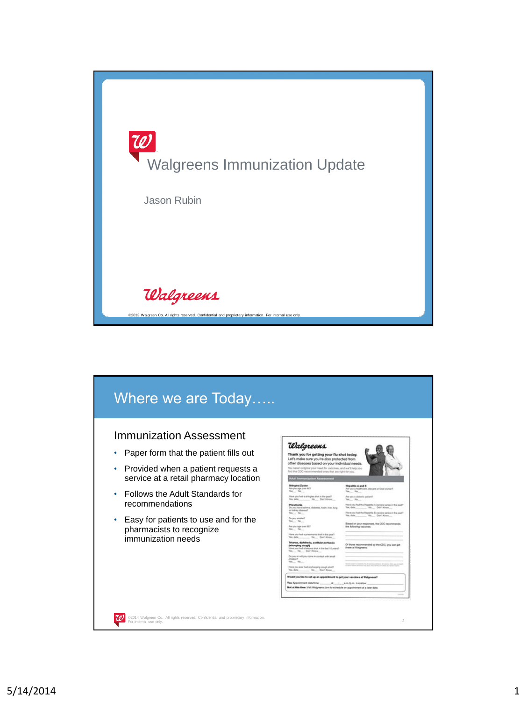

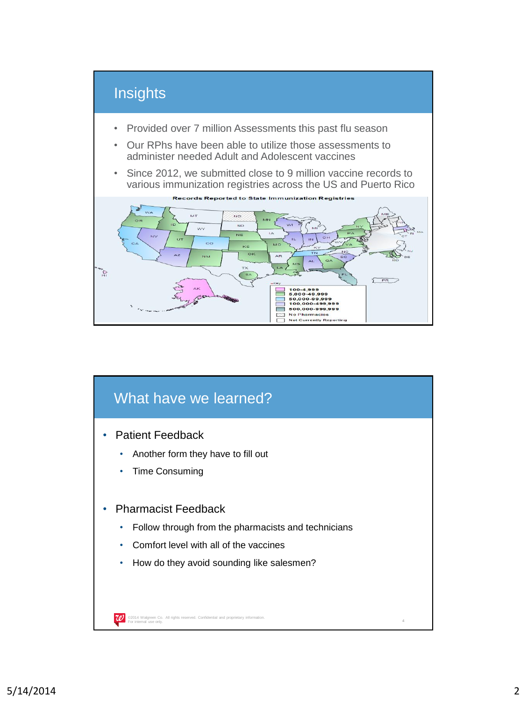